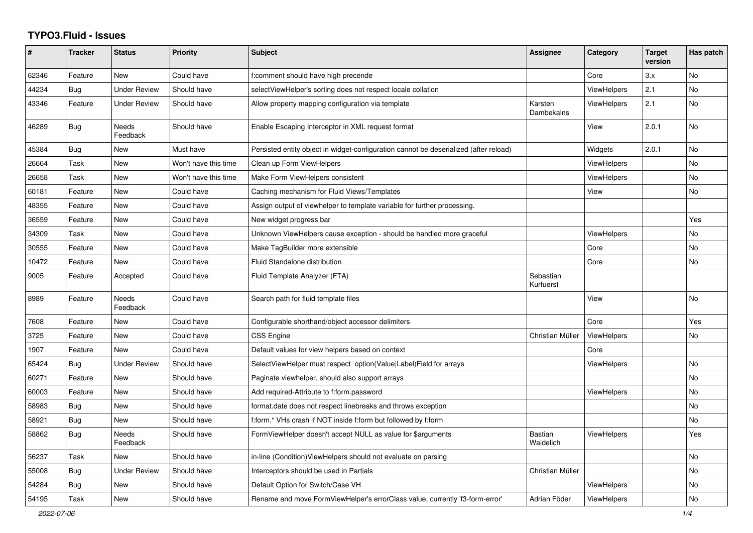## **TYPO3.Fluid - Issues**

| ∦     | <b>Tracker</b> | <b>Status</b>            | <b>Priority</b>      | <b>Subject</b>                                                                        | Assignee               | Category           | <b>Target</b><br>version | Has patch |
|-------|----------------|--------------------------|----------------------|---------------------------------------------------------------------------------------|------------------------|--------------------|--------------------------|-----------|
| 62346 | Feature        | <b>New</b>               | Could have           | f:comment should have high precende                                                   |                        | Core               | 3.x                      | <b>No</b> |
| 44234 | <b>Bug</b>     | <b>Under Review</b>      | Should have          | selectViewHelper's sorting does not respect locale collation                          |                        | <b>ViewHelpers</b> | 2.1                      | No        |
| 43346 | Feature        | <b>Under Review</b>      | Should have          | Allow property mapping configuration via template                                     | Karsten<br>Dambekalns  | <b>ViewHelpers</b> | 2.1                      | No        |
| 46289 | Bug            | <b>Needs</b><br>Feedback | Should have          | Enable Escaping Interceptor in XML request format                                     |                        | View               | 2.0.1                    | <b>No</b> |
| 45384 | Bug            | New                      | Must have            | Persisted entity object in widget-configuration cannot be deserialized (after reload) |                        | Widgets            | 2.0.1                    | No        |
| 26664 | Task           | New                      | Won't have this time | Clean up Form ViewHelpers                                                             |                        | <b>ViewHelpers</b> |                          | <b>No</b> |
| 26658 | Task           | <b>New</b>               | Won't have this time | Make Form ViewHelpers consistent                                                      |                        | ViewHelpers        |                          | <b>No</b> |
| 60181 | Feature        | New                      | Could have           | Caching mechanism for Fluid Views/Templates                                           |                        | View               |                          | <b>No</b> |
| 48355 | Feature        | New                      | Could have           | Assign output of viewhelper to template variable for further processing.              |                        |                    |                          |           |
| 36559 | Feature        | New                      | Could have           | New widget progress bar                                                               |                        |                    |                          | Yes       |
| 34309 | Task           | New                      | Could have           | Unknown ViewHelpers cause exception - should be handled more graceful                 |                        | <b>ViewHelpers</b> |                          | No        |
| 30555 | Feature        | <b>New</b>               | Could have           | Make TagBuilder more extensible                                                       |                        | Core               |                          | <b>No</b> |
| 10472 | Feature        | New                      | Could have           | <b>Fluid Standalone distribution</b>                                                  |                        | Core               |                          | No        |
| 9005  | Feature        | Accepted                 | Could have           | Fluid Template Analyzer (FTA)                                                         | Sebastian<br>Kurfuerst |                    |                          |           |
| 8989  | Feature        | <b>Needs</b><br>Feedback | Could have           | Search path for fluid template files                                                  |                        | View               |                          | <b>No</b> |
| 7608  | Feature        | <b>New</b>               | Could have           | Configurable shorthand/object accessor delimiters                                     |                        | Core               |                          | Yes       |
| 3725  | Feature        | New                      | Could have           | <b>CSS Engine</b>                                                                     | Christian Müller       | ViewHelpers        |                          | <b>No</b> |
| 1907  | Feature        | <b>New</b>               | Could have           | Default values for view helpers based on context                                      |                        | Core               |                          |           |
| 65424 | Bug            | <b>Under Review</b>      | Should have          | SelectViewHelper must respect option(Value Label)Field for arrays                     |                        | <b>ViewHelpers</b> |                          | No        |
| 60271 | Feature        | New                      | Should have          | Paginate viewhelper, should also support arrays                                       |                        |                    |                          | No        |
| 60003 | Feature        | New                      | Should have          | Add required-Attribute to f:form.password                                             |                        | <b>ViewHelpers</b> |                          | No        |
| 58983 | <b>Bug</b>     | <b>New</b>               | Should have          | format.date does not respect linebreaks and throws exception                          |                        |                    |                          | <b>No</b> |
| 58921 | Bug            | <b>New</b>               | Should have          | f:form.* VHs crash if NOT inside f:form but followed by f:form                        |                        |                    |                          | <b>No</b> |
| 58862 | Bug            | <b>Needs</b><br>Feedback | Should have          | FormViewHelper doesn't accept NULL as value for \$arguments                           | Bastian<br>Waidelich   | <b>ViewHelpers</b> |                          | Yes       |
| 56237 | Task           | <b>New</b>               | Should have          | in-line (Condition) ViewHelpers should not evaluate on parsing                        |                        |                    |                          | <b>No</b> |
| 55008 | <b>Bug</b>     | <b>Under Review</b>      | Should have          | Interceptors should be used in Partials                                               | Christian Müller       |                    |                          | <b>No</b> |
| 54284 | <b>Bug</b>     | New                      | Should have          | Default Option for Switch/Case VH                                                     |                        | ViewHelpers        |                          | No        |
| 54195 | Task           | New                      | Should have          | Rename and move FormViewHelper's errorClass value, currently 'f3-form-error'          | Adrian Föder           | ViewHelpers        |                          | No        |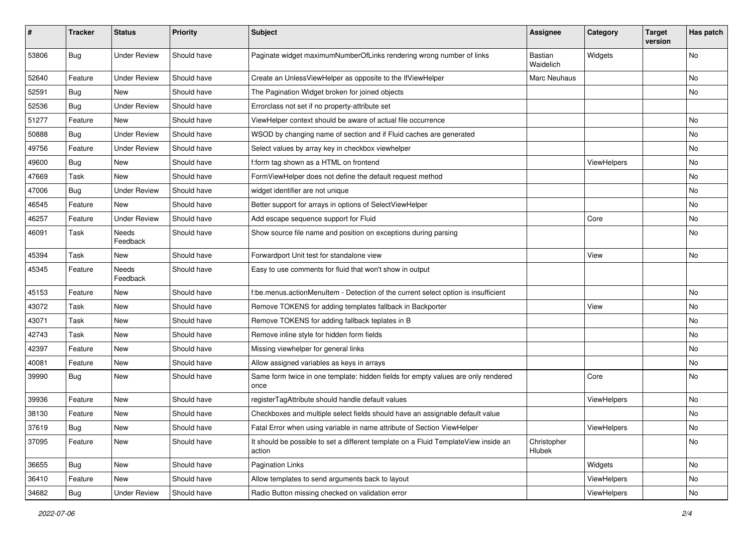| #     | <b>Tracker</b> | <b>Status</b>            | <b>Priority</b> | Subject                                                                                       | Assignee              | Category    | <b>Target</b><br>version | Has patch |
|-------|----------------|--------------------------|-----------------|-----------------------------------------------------------------------------------------------|-----------------------|-------------|--------------------------|-----------|
| 53806 | Bug            | <b>Under Review</b>      | Should have     | Paginate widget maximumNumberOfLinks rendering wrong number of links                          | Bastian<br>Waidelich  | Widgets     |                          | <b>No</b> |
| 52640 | Feature        | <b>Under Review</b>      | Should have     | Create an UnlessViewHelper as opposite to the IfViewHelper                                    | Marc Neuhaus          |             |                          | No        |
| 52591 | Bug            | <b>New</b>               | Should have     | The Pagination Widget broken for joined objects                                               |                       |             |                          | No        |
| 52536 | Bug            | <b>Under Review</b>      | Should have     | Errorclass not set if no property-attribute set                                               |                       |             |                          |           |
| 51277 | Feature        | New                      | Should have     | ViewHelper context should be aware of actual file occurrence                                  |                       |             |                          | <b>No</b> |
| 50888 | <b>Bug</b>     | <b>Under Review</b>      | Should have     | WSOD by changing name of section and if Fluid caches are generated                            |                       |             |                          | No        |
| 49756 | Feature        | <b>Under Review</b>      | Should have     | Select values by array key in checkbox viewhelper                                             |                       |             |                          | No        |
| 49600 | Bug            | <b>New</b>               | Should have     | f:form tag shown as a HTML on frontend                                                        |                       | ViewHelpers |                          | No        |
| 47669 | Task           | <b>New</b>               | Should have     | FormViewHelper does not define the default request method                                     |                       |             |                          | No        |
| 47006 | Bug            | <b>Under Review</b>      | Should have     | widget identifier are not unique                                                              |                       |             |                          | <b>No</b> |
| 46545 | Feature        | New                      | Should have     | Better support for arrays in options of SelectViewHelper                                      |                       |             |                          | No        |
| 46257 | Feature        | <b>Under Review</b>      | Should have     | Add escape sequence support for Fluid                                                         |                       | Core        |                          | No        |
| 46091 | Task           | Needs<br>Feedback        | Should have     | Show source file name and position on exceptions during parsing                               |                       |             |                          | No        |
| 45394 | Task           | New                      | Should have     | Forwardport Unit test for standalone view                                                     |                       | View        |                          | No        |
| 45345 | Feature        | <b>Needs</b><br>Feedback | Should have     | Easy to use comments for fluid that won't show in output                                      |                       |             |                          |           |
| 45153 | Feature        | New                      | Should have     | f:be.menus.actionMenuItem - Detection of the current select option is insufficient            |                       |             |                          | No        |
| 43072 | Task           | New                      | Should have     | Remove TOKENS for adding templates fallback in Backporter                                     |                       | View        |                          | No        |
| 43071 | Task           | New                      | Should have     | Remove TOKENS for adding fallback teplates in B                                               |                       |             |                          | No        |
| 42743 | Task           | New                      | Should have     | Remove inline style for hidden form fields                                                    |                       |             |                          | No        |
| 42397 | Feature        | New                      | Should have     | Missing viewhelper for general links                                                          |                       |             |                          | No        |
| 40081 | Feature        | New                      | Should have     | Allow assigned variables as keys in arrays                                                    |                       |             |                          | No        |
| 39990 | Bug            | New                      | Should have     | Same form twice in one template: hidden fields for empty values are only rendered<br>once     |                       | Core        |                          | <b>No</b> |
| 39936 | Feature        | New                      | Should have     | registerTagAttribute should handle default values                                             |                       | ViewHelpers |                          | <b>No</b> |
| 38130 | Feature        | New                      | Should have     | Checkboxes and multiple select fields should have an assignable default value                 |                       |             |                          | No        |
| 37619 | <b>Bug</b>     | New                      | Should have     | Fatal Error when using variable in name attribute of Section ViewHelper                       |                       | ViewHelpers |                          | N0        |
| 37095 | Feature        | New                      | Should have     | It should be possible to set a different template on a Fluid TemplateView inside an<br>action | Christopher<br>Hlubek |             |                          | No        |
| 36655 | Bug            | New                      | Should have     | Pagination Links                                                                              |                       | Widgets     |                          | No        |
| 36410 | Feature        | New                      | Should have     | Allow templates to send arguments back to layout                                              |                       | ViewHelpers |                          | No        |
| 34682 | Bug            | <b>Under Review</b>      | Should have     | Radio Button missing checked on validation error                                              |                       | ViewHelpers |                          | No        |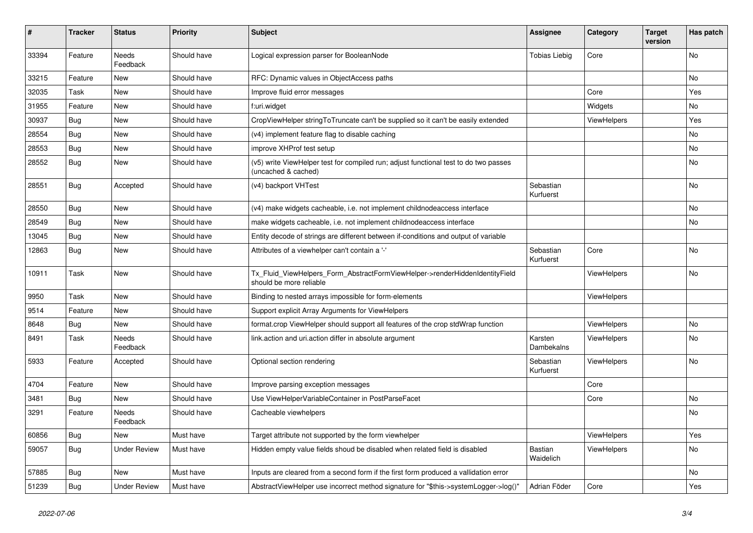| ∦     | <b>Tracker</b> | <b>Status</b>            | <b>Priority</b> | <b>Subject</b>                                                                                              | Assignee                    | Category           | <b>Target</b><br>version | Has patch      |
|-------|----------------|--------------------------|-----------------|-------------------------------------------------------------------------------------------------------------|-----------------------------|--------------------|--------------------------|----------------|
| 33394 | Feature        | <b>Needs</b><br>Feedback | Should have     | Logical expression parser for BooleanNode                                                                   | <b>Tobias Liebig</b>        | Core               |                          | No             |
| 33215 | Feature        | New                      | Should have     | RFC: Dynamic values in ObjectAccess paths                                                                   |                             |                    |                          | No             |
| 32035 | Task           | New                      | Should have     | Improve fluid error messages                                                                                |                             | Core               |                          | Yes            |
| 31955 | Feature        | New                      | Should have     | f:uri.widget                                                                                                |                             | Widgets            |                          | No             |
| 30937 | <b>Bug</b>     | New                      | Should have     | CropViewHelper stringToTruncate can't be supplied so it can't be easily extended                            |                             | <b>ViewHelpers</b> |                          | Yes            |
| 28554 | Bug            | New                      | Should have     | (v4) implement feature flag to disable caching                                                              |                             |                    |                          | No             |
| 28553 | Bug            | New                      | Should have     | improve XHProf test setup                                                                                   |                             |                    |                          | No             |
| 28552 | Bug            | New                      | Should have     | (v5) write ViewHelper test for compiled run; adjust functional test to do two passes<br>(uncached & cached) |                             |                    |                          | No             |
| 28551 | <b>Bug</b>     | Accepted                 | Should have     | (v4) backport VHTest                                                                                        | Sebastian<br>Kurfuerst      |                    |                          | No             |
| 28550 | Bug            | New                      | Should have     | (v4) make widgets cacheable, i.e. not implement childnodeaccess interface                                   |                             |                    |                          | No             |
| 28549 | Bug            | New                      | Should have     | make widgets cacheable, i.e. not implement childnodeaccess interface                                        |                             |                    |                          | N <sub>o</sub> |
| 13045 | Bug            | New                      | Should have     | Entity decode of strings are different between if-conditions and output of variable                         |                             |                    |                          |                |
| 12863 | Bug            | New                      | Should have     | Attributes of a viewhelper can't contain a '-'                                                              | Sebastian<br>Kurfuerst      | Core               |                          | No             |
| 10911 | Task           | New                      | Should have     | Tx Fluid ViewHelpers Form AbstractFormViewHelper->renderHiddenIdentityField<br>should be more reliable      |                             | <b>ViewHelpers</b> |                          | No             |
| 9950  | Task           | <b>New</b>               | Should have     | Binding to nested arrays impossible for form-elements                                                       |                             | <b>ViewHelpers</b> |                          |                |
| 9514  | Feature        | New                      | Should have     | Support explicit Array Arguments for ViewHelpers                                                            |                             |                    |                          |                |
| 8648  | <b>Bug</b>     | New                      | Should have     | format.crop ViewHelper should support all features of the crop stdWrap function                             |                             | <b>ViewHelpers</b> |                          | No             |
| 8491  | Task           | Needs<br>Feedback        | Should have     | link.action and uri.action differ in absolute argument                                                      | Karsten<br>Dambekalns       | ViewHelpers        |                          | No             |
| 5933  | Feature        | Accepted                 | Should have     | Optional section rendering                                                                                  | Sebastian<br>Kurfuerst      | <b>ViewHelpers</b> |                          | No             |
| 4704  | Feature        | <b>New</b>               | Should have     | Improve parsing exception messages                                                                          |                             | Core               |                          |                |
| 3481  | Bug            | New                      | Should have     | Use ViewHelperVariableContainer in PostParseFacet                                                           |                             | Core               |                          | No             |
| 3291  | Feature        | Needs<br>Feedback        | Should have     | Cacheable viewhelpers                                                                                       |                             |                    |                          | No             |
| 60856 | Bug            | New                      | Must have       | Target attribute not supported by the form viewhelper                                                       |                             | ViewHelpers        |                          | Yes            |
| 59057 | <b>Bug</b>     | <b>Under Review</b>      | Must have       | Hidden empty value fields shoud be disabled when related field is disabled                                  | <b>Bastian</b><br>Waidelich | ViewHelpers        |                          | No             |
| 57885 | <b>Bug</b>     | New                      | Must have       | Inputs are cleared from a second form if the first form produced a vallidation error                        |                             |                    |                          | No             |
| 51239 | Bug            | <b>Under Review</b>      | Must have       | AbstractViewHelper use incorrect method signature for "\$this->systemLogger->log()"                         | Adrian Föder                | Core               |                          | Yes            |